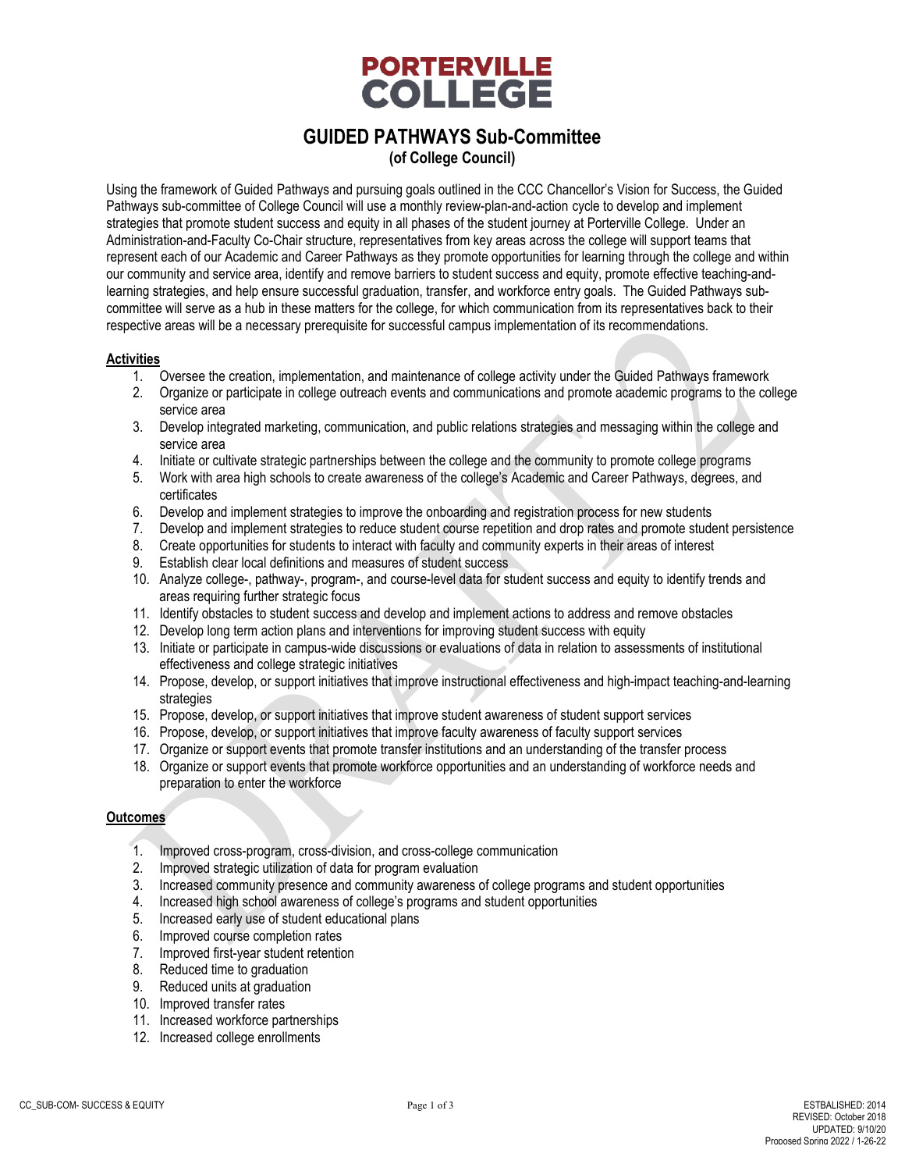

**(of College Council)**

Using the framework of Guided Pathways and pursuing goals outlined in the CCC Chancellor's Vision for Success, the Guided Pathways sub-committee of College Council will use a monthly review-plan-and-action cycle to develop and implement strategies that promote student success and equity in all phases of the student journey at Porterville College. Under an Administration-and-Faculty Co-Chair structure, representatives from key areas across the college will support teams that represent each of our Academic and Career Pathways as they promote opportunities for learning through the college and within our community and service area, identify and remove barriers to student success and equity, promote effective teaching-andlearning strategies, and help ensure successful graduation, transfer, and workforce entry goals. The Guided Pathways subcommittee will serve as a hub in these matters for the college, for which communication from its representatives back to their respective areas will be a necessary prerequisite for successful campus implementation of its recommendations.

#### **Activities**

- 1. Oversee the creation, implementation, and maintenance of college activity under the Guided Pathways framework
- 2. Organize or participate in college outreach events and communications and promote academic programs to the college service area
- 3. Develop integrated marketing, communication, and public relations strategies and messaging within the college and service area
- 4. Initiate or cultivate strategic partnerships between the college and the community to promote college programs
- 5. Work with area high schools to create awareness of the college's Academic and Career Pathways, degrees, and certificates
- 6. Develop and implement strategies to improve the onboarding and registration process for new students
- 7. Develop and implement strategies to reduce student course repetition and drop rates and promote student persistence
- 8. Create opportunities for students to interact with faculty and community experts in their areas of interest
- 9. Establish clear local definitions and measures of student success
- 10. Analyze college-, pathway-, program-, and course-level data for student success and equity to identify trends and areas requiring further strategic focus
- 11. Identify obstacles to student success and develop and implement actions to address and remove obstacles
- 12. Develop long term action plans and interventions for improving student success with equity
- 13. Initiate or participate in campus-wide discussions or evaluations of data in relation to assessments of institutional effectiveness and college strategic initiatives
- 14. Propose, develop, or support initiatives that improve instructional effectiveness and high-impact teaching-and-learning strategies
- 15. Propose, develop, or support initiatives that improve student awareness of student support services
- 16. Propose, develop, or support initiatives that improve faculty awareness of faculty support services
- 17. Organize or support events that promote transfer institutions and an understanding of the transfer process
- 18. Organize or support events that promote workforce opportunities and an understanding of workforce needs and preparation to enter the workforce

#### **Outcomes**

- 1. Improved cross-program, cross-division, and cross-college communication
- 2. Improved strategic utilization of data for program evaluation
- 3. Increased community presence and community awareness of college programs and student opportunities
- 4. Increased high school awareness of college's programs and student opportunities
- 5. Increased early use of student educational plans
- 6. Improved course completion rates
- 7. Improved first-year student retention
- 8. Reduced time to graduation
- 9. Reduced units at graduation
- 10. Improved transfer rates
- 11. Increased workforce partnerships
- 12. Increased college enrollments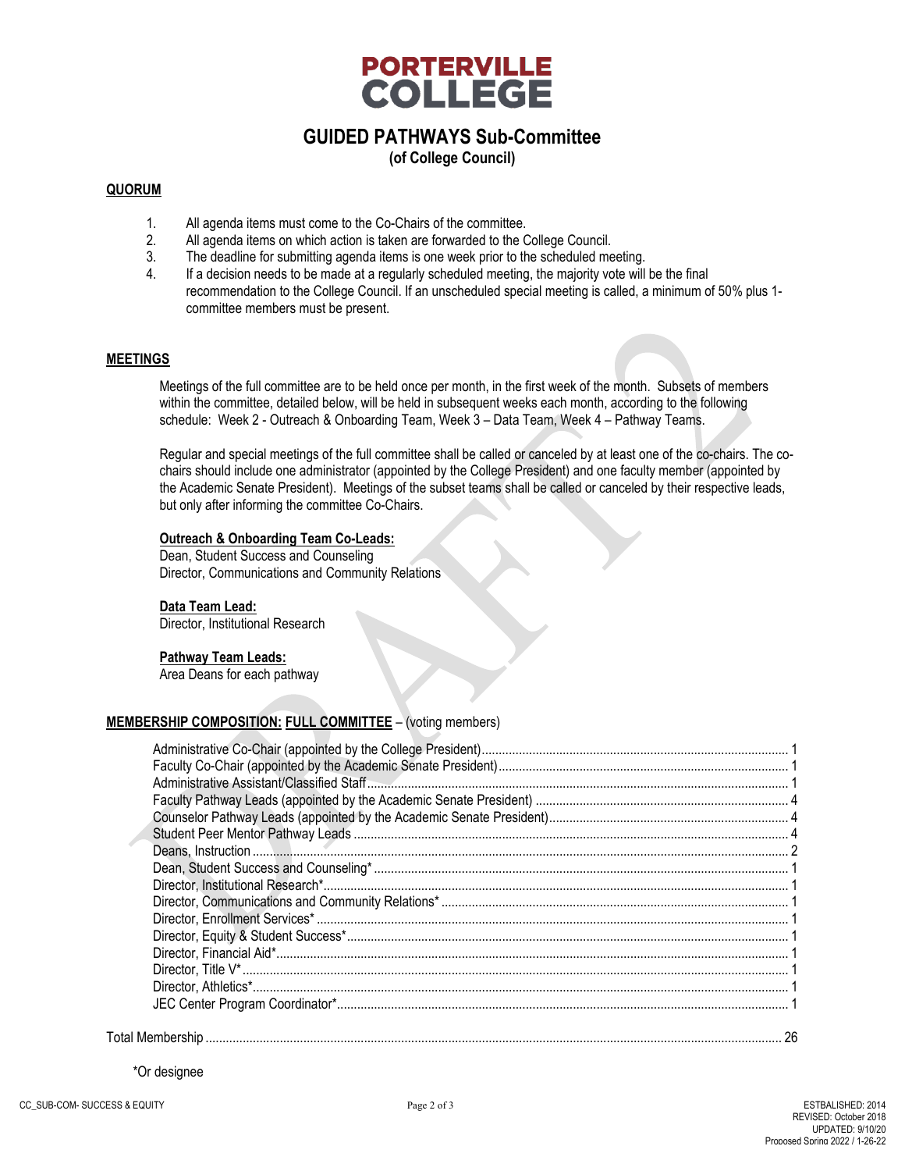

**(of College Council)**

#### **QUORUM**

- 1. All agenda items must come to the Co-Chairs of the committee.
- 2. All agenda items on which action is taken are forwarded to the College Council.<br>3. The deadline for submitting agenda items is one week prior to the scheduled me
- The deadline for submitting agenda items is one week prior to the scheduled meeting.
- 4. If a decision needs to be made at a regularly scheduled meeting, the majority vote will be the final recommendation to the College Council. If an unscheduled special meeting is called, a minimum of 50% plus 1 committee members must be present.

#### **MEETINGS**

Meetings of the full committee are to be held once per month, in the first week of the month. Subsets of members within the committee, detailed below, will be held in subsequent weeks each month, according to the following schedule: Week 2 - Outreach & Onboarding Team, Week 3 – Data Team, Week 4 – Pathway Teams.

Regular and special meetings of the full committee shall be called or canceled by at least one of the co-chairs. The cochairs should include one administrator (appointed by the College President) and one faculty member (appointed by the Academic Senate President). Meetings of the subset teams shall be called or canceled by their respective leads, but only after informing the committee Co-Chairs.

#### **Outreach & Onboarding Team Co-Leads:**

Dean, Student Success and Counseling Director, Communications and Community Relations

#### **Data Team Lead:**

Director, Institutional Research

#### **Pathway Team Leads:**

Area Deans for each pathway

#### **MEMBERSHIP COMPOSITION: FULL COMMITTEE** – (voting members)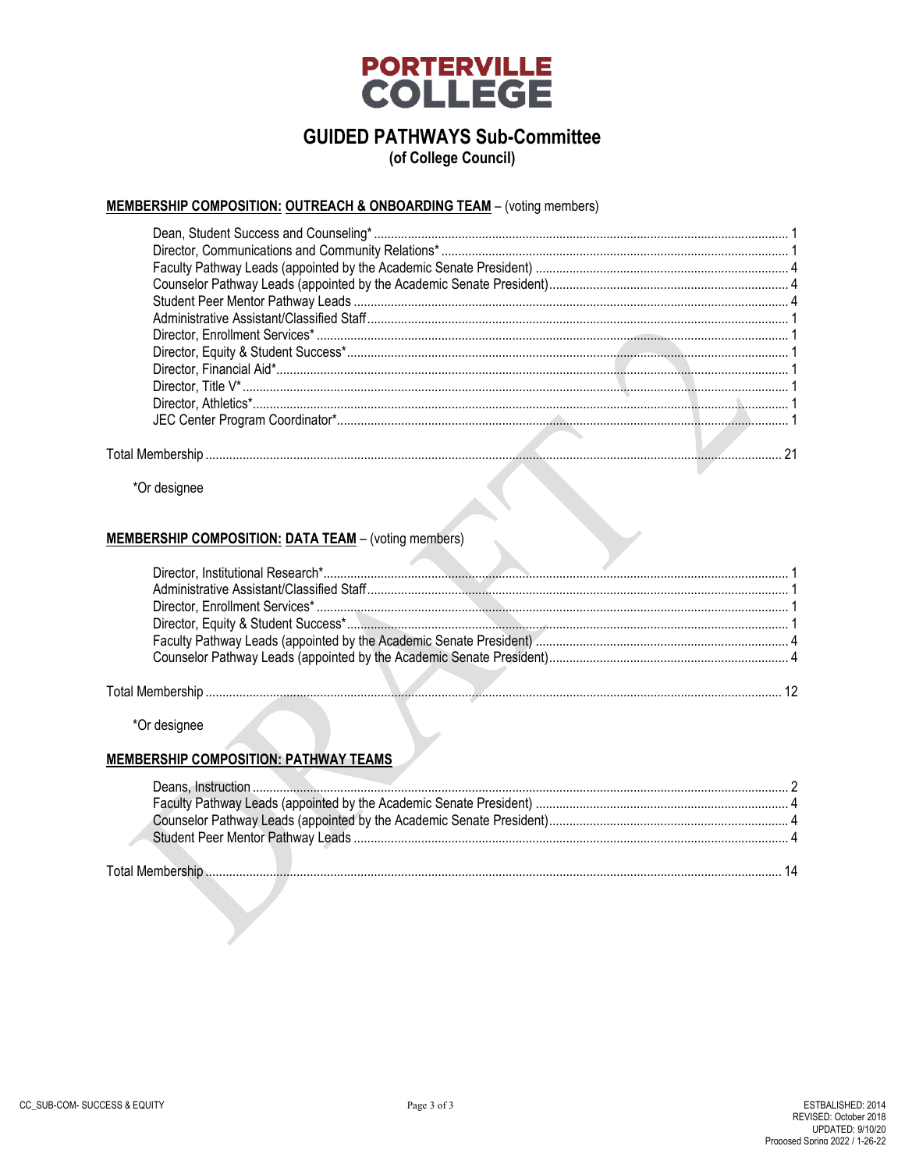

(of College Council)

### MEMBERSHIP COMPOSITION: OUTREACH & ONBOARDING TEAM - (voting members)

\*Or designee

#### **MEMBERSHIP COMPOSITION: DATA TEAM - (voting members)**

\*Or designee

A

Total

#### **MEMBERSHIP COMPOSITION: PATHWAY TEAMS**